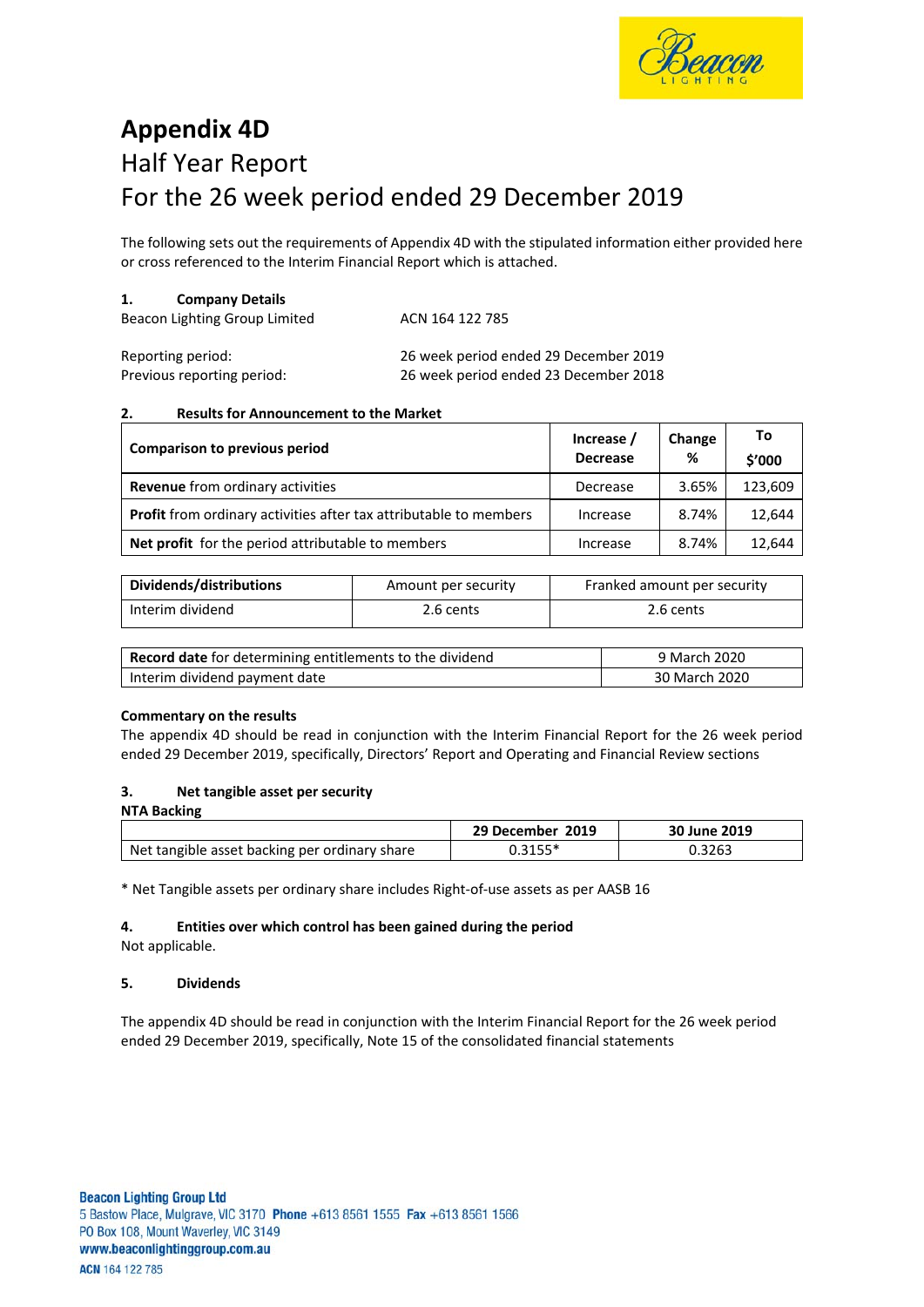

# **Appendix 4D** Half Year Report For the 26 week period ended 29 December 2019

The following sets out the requirements of Appendix 4D with the stipulated information either provided here or cross referenced to the Interim Financial Report which is attached.

#### **1. Company Details**

| Beacon Lighting Group Limited | ACN 164 122 785 |
|-------------------------------|-----------------|
|-------------------------------|-----------------|

| Reporting period:          | 26 week period ended 29 December 2019 |
|----------------------------|---------------------------------------|
| Previous reporting period: | 26 week period ended 23 December 2018 |

### **2. Results for Announcement to the Market**

| <b>Comparison to previous period</b>                                     | Increase /<br><b>Decrease</b> | Change<br>% | Τo<br>\$'000 |
|--------------------------------------------------------------------------|-------------------------------|-------------|--------------|
| <b>Revenue</b> from ordinary activities                                  | Decrease                      | 3.65%       | 123,609      |
| <b>Profit</b> from ordinary activities after tax attributable to members | Increase                      | 8.74%       | 12,644       |
| Net profit for the period attributable to members                        | Increase                      | 8.74%       | 12,644       |

| Dividends/distributions | Amount per security | Franked amount per security |
|-------------------------|---------------------|-----------------------------|
| Interim dividend        | 2.6 cents           | 2.6 cents                   |

| <b>Record date</b> for determining entitlements to the dividend | 9 March 2020  |
|-----------------------------------------------------------------|---------------|
| Interim dividend payment date                                   | 30 March 2020 |

### **Commentary on the results**

The appendix 4D should be read in conjunction with the Interim Financial Report for the 26 week period ended 29 December 2019, specifically, Directors' Report and Operating and Financial Review sections

### **3. Net tangible asset per security**

| <b>NTA Backing</b>                            |                  |              |
|-----------------------------------------------|------------------|--------------|
|                                               | 29 December 2019 | 30 June 2019 |
| Net tangible asset backing per ordinary share | $0.3155^*$       | 0.3263       |

\* Net Tangible assets per ordinary share includes Right‐of‐use assets as per AASB 16

# **4. Entities over which control has been gained during the period**

Not applicable.

### **5. Dividends**

The appendix 4D should be read in conjunction with the Interim Financial Report for the 26 week period ended 29 December 2019, specifically, Note 15 of the consolidated financial statements